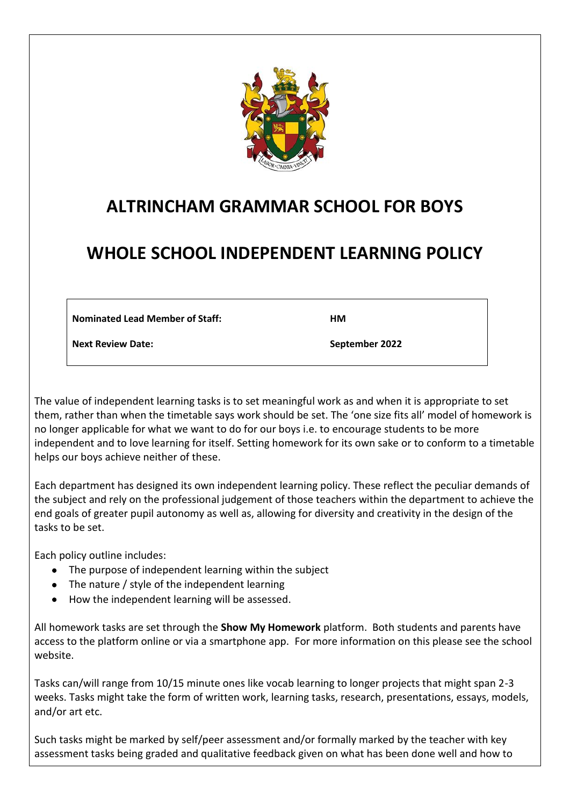

# **ALTRINCHAM GRAMMAR SCHOOL FOR BOYS**

# **WHOLE SCHOOL INDEPENDENT LEARNING POLICY**

**Nominated Lead Member of Staff:** 

**HM**

**Next Review Date:**

**September 2022**

The value of independent learning tasks is to set meaningful work as and when it is appropriate to set them, rather than when the timetable says work should be set. The 'one size fits all' model of homework is no longer applicable for what we want to do for our boys i.e. to encourage students to be more independent and to love learning for itself. Setting homework for its own sake or to conform to a timetable helps our boys achieve neither of these.

Each department has designed its own independent learning policy. These reflect the peculiar demands of the subject and rely on the professional judgement of those teachers within the department to achieve the end goals of greater pupil autonomy as well as, allowing for diversity and creativity in the design of the tasks to be set.

Each policy outline includes:

- The purpose of independent learning within the subject
- The nature / style of the independent learning
- How the independent learning will be assessed.

All homework tasks are set through the **Show My Homework** platform. Both students and parents have access to the platform online or via a smartphone app. For more information on this please see the school website.

Tasks can/will range from 10/15 minute ones like vocab learning to longer projects that might span 2-3 weeks. Tasks might take the form of written work, learning tasks, research, presentations, essays, models, and/or art etc.

Such tasks might be marked by self/peer assessment and/or formally marked by the teacher with key assessment tasks being graded and qualitative feedback given on what has been done well and how to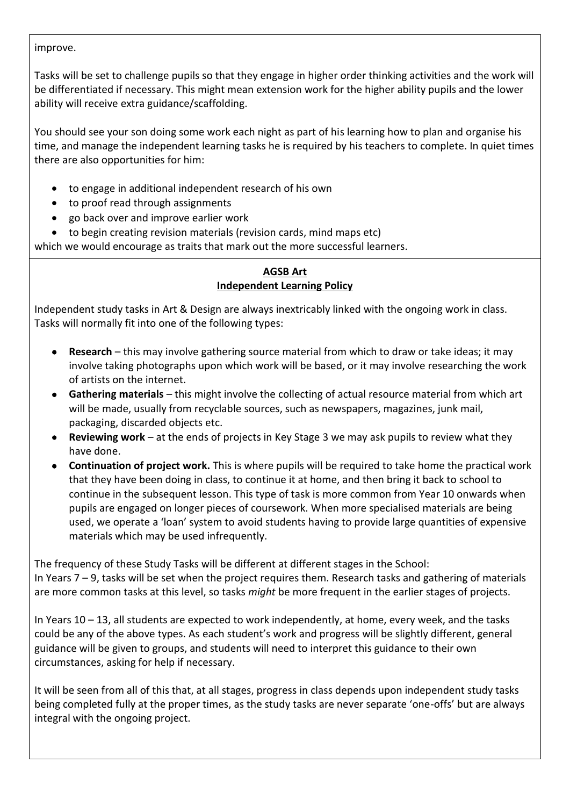improve.

Tasks will be set to challenge pupils so that they engage in higher order thinking activities and the work will be differentiated if necessary. This might mean extension work for the higher ability pupils and the lower ability will receive extra guidance/scaffolding.

You should see your son doing some work each night as part of his learning how to plan and organise his time, and manage the independent learning tasks he is required by his teachers to complete. In quiet times there are also opportunities for him:

- to engage in additional independent research of his own
- to proof read through assignments
- go back over and improve earlier work
- to begin creating revision materials (revision cards, mind maps etc)

which we would encourage as traits that mark out the more successful learners.

## **AGSB Art Independent Learning Policy**

Independent study tasks in Art & Design are always inextricably linked with the ongoing work in class. Tasks will normally fit into one of the following types:

- **Research** this may involve gathering source material from which to draw or take ideas; it may involve taking photographs upon which work will be based, or it may involve researching the work of artists on the internet.
- **Gathering materials** this might involve the collecting of actual resource material from which art will be made, usually from recyclable sources, such as newspapers, magazines, junk mail, packaging, discarded objects etc.
- **Reviewing work** at the ends of projects in Key Stage 3 we may ask pupils to review what they have done.
- **Continuation of project work.** This is where pupils will be required to take home the practical work that they have been doing in class, to continue it at home, and then bring it back to school to continue in the subsequent lesson. This type of task is more common from Year 10 onwards when pupils are engaged on longer pieces of coursework. When more specialised materials are being used, we operate a 'loan' system to avoid students having to provide large quantities of expensive materials which may be used infrequently.

The frequency of these Study Tasks will be different at different stages in the School: In Years 7 – 9, tasks will be set when the project requires them. Research tasks and gathering of materials are more common tasks at this level, so tasks *might* be more frequent in the earlier stages of projects.

In Years 10 – 13, all students are expected to work independently, at home, every week, and the tasks could be any of the above types. As each student's work and progress will be slightly different, general guidance will be given to groups, and students will need to interpret this guidance to their own circumstances, asking for help if necessary.

It will be seen from all of this that, at all stages, progress in class depends upon independent study tasks being completed fully at the proper times, as the study tasks are never separate 'one-offs' but are always integral with the ongoing project.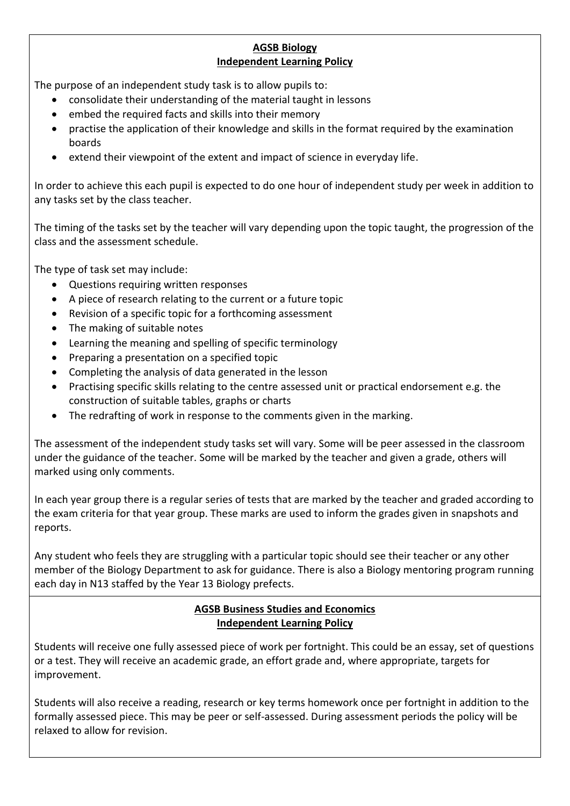## **AGSB Biology Independent Learning Policy**

The purpose of an independent study task is to allow pupils to:

- consolidate their understanding of the material taught in lessons
- embed the required facts and skills into their memory
- practise the application of their knowledge and skills in the format required by the examination boards
- extend their viewpoint of the extent and impact of science in everyday life.

In order to achieve this each pupil is expected to do one hour of independent study per week in addition to any tasks set by the class teacher.

The timing of the tasks set by the teacher will vary depending upon the topic taught, the progression of the class and the assessment schedule.

The type of task set may include:

- Questions requiring written responses
- A piece of research relating to the current or a future topic
- Revision of a specific topic for a forthcoming assessment
- The making of suitable notes
- Learning the meaning and spelling of specific terminology
- Preparing a presentation on a specified topic
- Completing the analysis of data generated in the lesson
- Practising specific skills relating to the centre assessed unit or practical endorsement e.g. the construction of suitable tables, graphs or charts
- The redrafting of work in response to the comments given in the marking.

The assessment of the independent study tasks set will vary. Some will be peer assessed in the classroom under the guidance of the teacher. Some will be marked by the teacher and given a grade, others will marked using only comments.

In each year group there is a regular series of tests that are marked by the teacher and graded according to the exam criteria for that year group. These marks are used to inform the grades given in snapshots and reports.

Any student who feels they are struggling with a particular topic should see their teacher or any other member of the Biology Department to ask for guidance. There is also a Biology mentoring program running each day in N13 staffed by the Year 13 Biology prefects.

## **AGSB Business Studies and Economics Independent Learning Policy**

Students will receive one fully assessed piece of work per fortnight. This could be an essay, set of questions or a test. They will receive an academic grade, an effort grade and, where appropriate, targets for improvement.

Students will also receive a reading, research or key terms homework once per fortnight in addition to the formally assessed piece. This may be peer or self-assessed. During assessment periods the policy will be relaxed to allow for revision.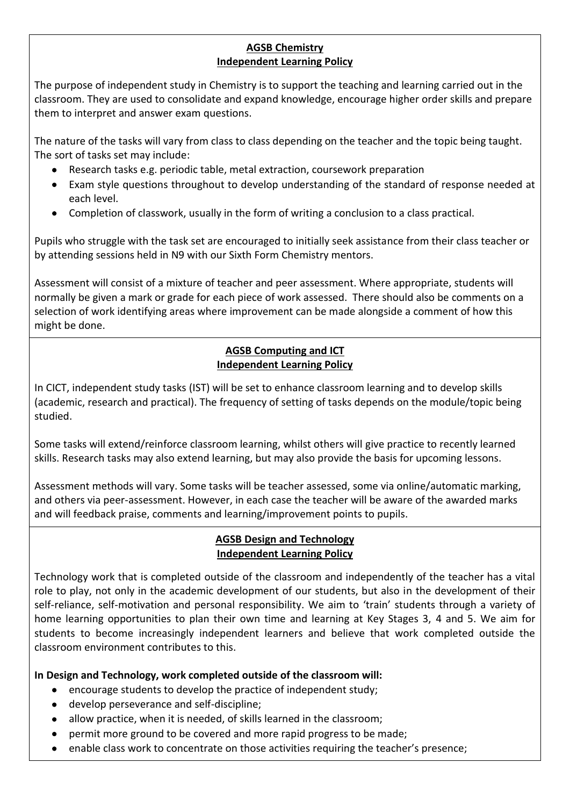## **AGSB Chemistry Independent Learning Policy**

The purpose of independent study in Chemistry is to support the teaching and learning carried out in the classroom. They are used to consolidate and expand knowledge, encourage higher order skills and prepare them to interpret and answer exam questions.

The nature of the tasks will vary from class to class depending on the teacher and the topic being taught. The sort of tasks set may include:

- Research tasks e.g. periodic table, metal extraction, coursework preparation
- Exam style questions throughout to develop understanding of the standard of response needed at each level.
- Completion of classwork, usually in the form of writing a conclusion to a class practical.

Pupils who struggle with the task set are encouraged to initially seek assistance from their class teacher or by attending sessions held in N9 with our Sixth Form Chemistry mentors.

Assessment will consist of a mixture of teacher and peer assessment. Where appropriate, students will normally be given a mark or grade for each piece of work assessed. There should also be comments on a selection of work identifying areas where improvement can be made alongside a comment of how this might be done.

## **AGSB Computing and ICT Independent Learning Policy**

In CICT, independent study tasks (IST) will be set to enhance classroom learning and to develop skills (academic, research and practical). The frequency of setting of tasks depends on the module/topic being studied.

Some tasks will extend/reinforce classroom learning, whilst others will give practice to recently learned skills. Research tasks may also extend learning, but may also provide the basis for upcoming lessons.

Assessment methods will vary. Some tasks will be teacher assessed, some via online/automatic marking, and others via peer-assessment. However, in each case the teacher will be aware of the awarded marks and will feedback praise, comments and learning/improvement points to pupils.

## **AGSB Design and Technology Independent Learning Policy**

Technology work that is completed outside of the classroom and independently of the teacher has a vital role to play, not only in the academic development of our students, but also in the development of their self-reliance, self-motivation and personal responsibility. We aim to 'train' students through a variety of home learning opportunities to plan their own time and learning at Key Stages 3, 4 and 5. We aim for students to become increasingly independent learners and believe that work completed outside the classroom environment contributes to this.

**In Design and Technology, work completed outside of the classroom will:**

- encourage students to develop the practice of independent study;
- develop perseverance and self-discipline;
- allow practice, when it is needed, of skills learned in the classroom;
- permit more ground to be covered and more rapid progress to be made;
- enable class work to concentrate on those activities requiring the teacher's presence;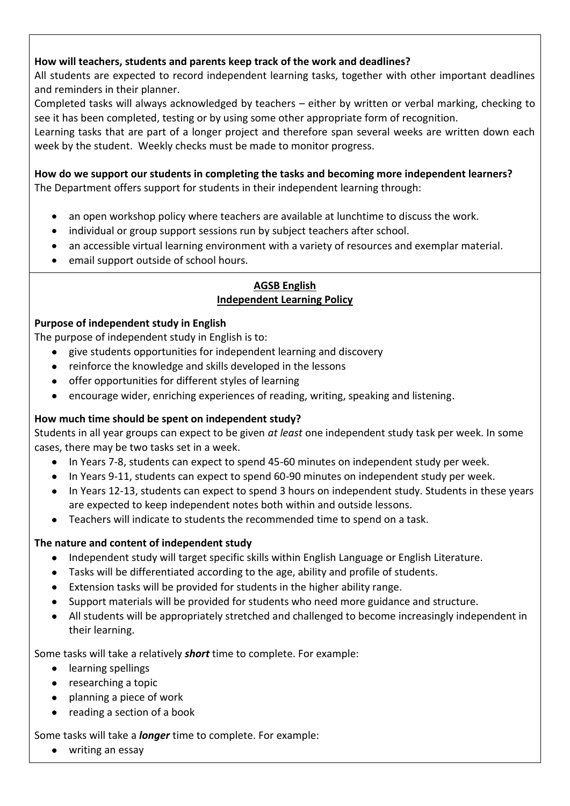## **How will teachers, students and parents keep track of the work and deadlines?**

All students are expected to record independent learning tasks, together with other important deadlines and reminders in their planner.

Completed tasks will always acknowledged by teachers – either by written or verbal marking, checking to see it has been completed, testing or by using some other appropriate form of recognition.

Learning tasks that are part of a longer project and therefore span several weeks are written down each week by the student. Weekly checks must be made to monitor progress.

## **How do we support our students in completing the tasks and becoming more independent learners?**

The Department offers support for students in their independent learning through:

- an open workshop policy where teachers are available at lunchtime to discuss the work.
- individual or group support sessions run by subject teachers after school.
- an accessible virtual learning environment with a variety of resources and exemplar material.
- email support outside of school hours.

#### **AGSB English Independent Learning Policy**

## **Purpose of independent study in English**

The purpose of independent study in English is to:

- give students opportunities for independent learning and discovery
- reinforce the knowledge and skills developed in the lessons
- offer opportunities for different styles of learning
- encourage wider, enriching experiences of reading, writing, speaking and listening.

## **How much time should be spent on independent study?**

Students in all year groups can expect to be given *at least* one independent study task per week. In some cases, there may be two tasks set in a week.

- In Years 7-8, students can expect to spend 45-60 minutes on independent study per week.
- In Years 9-11, students can expect to spend 60-90 minutes on independent study per week.
- In Years 12-13, students can expect to spend 3 hours on independent study. Students in these years are expected to keep independent notes both within and outside lessons.
- Teachers will indicate to students the recommended time to spend on a task.

#### **The nature and content of independent study**

- Independent study will target specific skills within English Language or English Literature.
- Tasks will be differentiated according to the age, ability and profile of students.
- Extension tasks will be provided for students in the higher ability range.
- Support materials will be provided for students who need more guidance and structure.
- All students will be appropriately stretched and challenged to become increasingly independent in their learning.

Some tasks will take a relatively *short* time to complete. For example:

- learning spellings
- researching a topic
- planning a piece of work
- reading a section of a book

Some tasks will take a *longer* time to complete. For example:

• writing an essay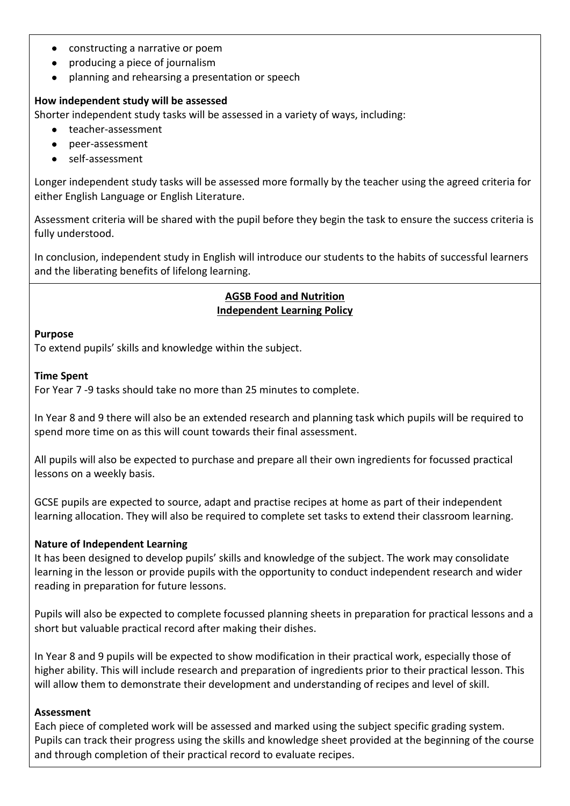- constructing a narrative or poem
- producing a piece of journalism
- planning and rehearsing a presentation or speech

#### **How independent study will be assessed**

Shorter independent study tasks will be assessed in a variety of ways, including:

- teacher-assessment
- peer-assessment
- self-assessment

Longer independent study tasks will be assessed more formally by the teacher using the agreed criteria for either English Language or English Literature.

Assessment criteria will be shared with the pupil before they begin the task to ensure the success criteria is fully understood.

In conclusion, independent study in English will introduce our students to the habits of successful learners and the liberating benefits of lifelong learning.

## **AGSB Food and Nutrition Independent Learning Policy**

#### **Purpose**

To extend pupils' skills and knowledge within the subject.

#### **Time Spent**

For Year 7 -9 tasks should take no more than 25 minutes to complete.

In Year 8 and 9 there will also be an extended research and planning task which pupils will be required to spend more time on as this will count towards their final assessment.

All pupils will also be expected to purchase and prepare all their own ingredients for focussed practical lessons on a weekly basis.

GCSE pupils are expected to source, adapt and practise recipes at home as part of their independent learning allocation. They will also be required to complete set tasks to extend their classroom learning.

## **Nature of Independent Learning**

It has been designed to develop pupils' skills and knowledge of the subject. The work may consolidate learning in the lesson or provide pupils with the opportunity to conduct independent research and wider reading in preparation for future lessons.

Pupils will also be expected to complete focussed planning sheets in preparation for practical lessons and a short but valuable practical record after making their dishes.

In Year 8 and 9 pupils will be expected to show modification in their practical work, especially those of higher ability. This will include research and preparation of ingredients prior to their practical lesson. This will allow them to demonstrate their development and understanding of recipes and level of skill.

#### **Assessment**

Each piece of completed work will be assessed and marked using the subject specific grading system. Pupils can track their progress using the skills and knowledge sheet provided at the beginning of the course and through completion of their practical record to evaluate recipes.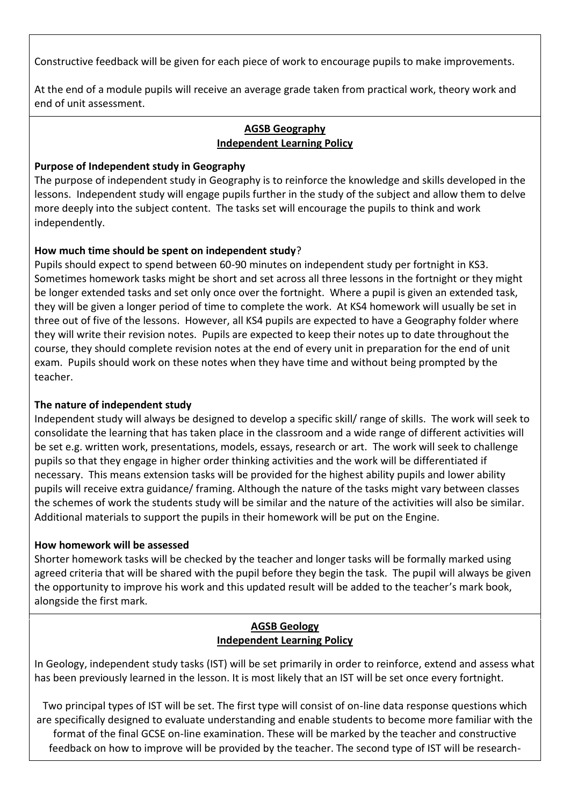Constructive feedback will be given for each piece of work to encourage pupils to make improvements.

At the end of a module pupils will receive an average grade taken from practical work, theory work and end of unit assessment.

#### **AGSB Geography Independent Learning Policy**

#### **Purpose of Independent study in Geography**

The purpose of independent study in Geography is to reinforce the knowledge and skills developed in the lessons. Independent study will engage pupils further in the study of the subject and allow them to delve more deeply into the subject content. The tasks set will encourage the pupils to think and work independently.

## **How much time should be spent on independent study**?

Pupils should expect to spend between 60-90 minutes on independent study per fortnight in KS3. Sometimes homework tasks might be short and set across all three lessons in the fortnight or they might be longer extended tasks and set only once over the fortnight. Where a pupil is given an extended task, they will be given a longer period of time to complete the work. At KS4 homework will usually be set in three out of five of the lessons. However, all KS4 pupils are expected to have a Geography folder where they will write their revision notes. Pupils are expected to keep their notes up to date throughout the course, they should complete revision notes at the end of every unit in preparation for the end of unit exam. Pupils should work on these notes when they have time and without being prompted by the teacher.

#### **The nature of independent study**

Independent study will always be designed to develop a specific skill/ range of skills. The work will seek to consolidate the learning that has taken place in the classroom and a wide range of different activities will be set e.g. written work, presentations, models, essays, research or art. The work will seek to challenge pupils so that they engage in higher order thinking activities and the work will be differentiated if necessary. This means extension tasks will be provided for the highest ability pupils and lower ability pupils will receive extra guidance/ framing. Although the nature of the tasks might vary between classes the schemes of work the students study will be similar and the nature of the activities will also be similar. Additional materials to support the pupils in their homework will be put on the Engine.

#### **How homework will be assessed**

Shorter homework tasks will be checked by the teacher and longer tasks will be formally marked using agreed criteria that will be shared with the pupil before they begin the task. The pupil will always be given the opportunity to improve his work and this updated result will be added to the teacher's mark book, alongside the first mark.

## **AGSB Geology Independent Learning Policy**

In Geology, independent study tasks (IST) will be set primarily in order to reinforce, extend and assess what has been previously learned in the lesson. It is most likely that an IST will be set once every fortnight.

Two principal types of IST will be set. The first type will consist of on-line data response questions which are specifically designed to evaluate understanding and enable students to become more familiar with the format of the final GCSE on-line examination. These will be marked by the teacher and constructive feedback on how to improve will be provided by the teacher. The second type of IST will be research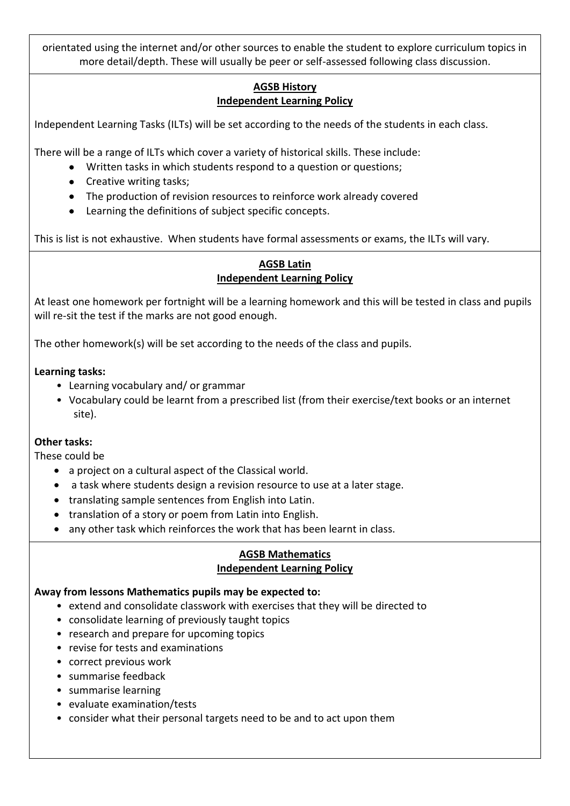orientated using the internet and/or other sources to enable the student to explore curriculum topics in more detail/depth. These will usually be peer or self-assessed following class discussion.

## **AGSB History Independent Learning Policy**

Independent Learning Tasks (ILTs) will be set according to the needs of the students in each class.

There will be a range of ILTs which cover a variety of historical skills. These include:

- Written tasks in which students respond to a question or questions;
- Creative writing tasks;
- The production of revision resources to reinforce work already covered
- Learning the definitions of subject specific concepts.

This is list is not exhaustive. When students have formal assessments or exams, the ILTs will vary.

## **AGSB Latin Independent Learning Policy**

At least one homework per fortnight will be a learning homework and this will be tested in class and pupils will re-sit the test if the marks are not good enough.

The other homework(s) will be set according to the needs of the class and pupils.

#### **Learning tasks:**

- Learning vocabulary and/ or grammar
- Vocabulary could be learnt from a prescribed list (from their exercise/text books or an internet site).

## **Other tasks:**

These could be

- a project on a cultural aspect of the Classical world.
- a task where students design a revision resource to use at a later stage.
- translating sample sentences from English into Latin.
- translation of a story or poem from Latin into English.
- any other task which reinforces the work that has been learnt in class.

#### **AGSB Mathematics Independent Learning Policy**

#### **Away from lessons Mathematics pupils may be expected to:**

- extend and consolidate classwork with exercises that they will be directed to
- consolidate learning of previously taught topics
- research and prepare for upcoming topics
- revise for tests and examinations
- correct previous work
- summarise feedback
- summarise learning
- evaluate examination/tests
- consider what their personal targets need to be and to act upon them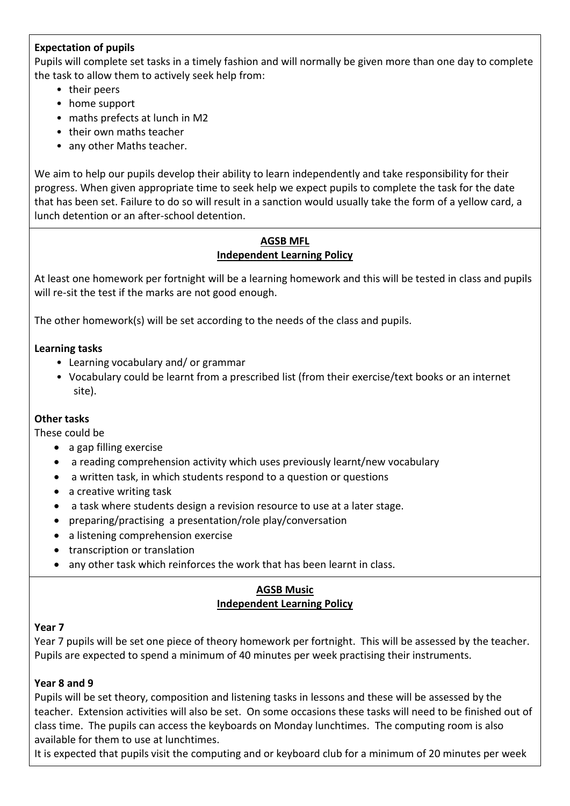## **Expectation of pupils**

Pupils will complete set tasks in a timely fashion and will normally be given more than one day to complete the task to allow them to actively seek help from:

- their peers
- home support
- maths prefects at lunch in M2
- their own maths teacher
- any other Maths teacher.

We aim to help our pupils develop their ability to learn independently and take responsibility for their progress. When given appropriate time to seek help we expect pupils to complete the task for the date that has been set. Failure to do so will result in a sanction would usually take the form of a yellow card, a lunch detention or an after-school detention.

## **AGSB MFL Independent Learning Policy**

At least one homework per fortnight will be a learning homework and this will be tested in class and pupils will re-sit the test if the marks are not good enough.

The other homework(s) will be set according to the needs of the class and pupils.

#### **Learning tasks**

- Learning vocabulary and/ or grammar
- Vocabulary could be learnt from a prescribed list (from their exercise/text books or an internet site).

#### **Other tasks**

These could be

- a gap filling exercise
- a reading comprehension activity which uses previously learnt/new vocabulary
- a written task, in which students respond to a question or questions
- a creative writing task
- a task where students design a revision resource to use at a later stage.
- preparing/practising a presentation/role play/conversation
- a listening comprehension exercise
- transcription or translation
- any other task which reinforces the work that has been learnt in class.

## **AGSB Music Independent Learning Policy**

#### **Year 7**

Year 7 pupils will be set one piece of theory homework per fortnight. This will be assessed by the teacher. Pupils are expected to spend a minimum of 40 minutes per week practising their instruments.

#### **Year 8 and 9**

Pupils will be set theory, composition and listening tasks in lessons and these will be assessed by the teacher. Extension activities will also be set. On some occasions these tasks will need to be finished out of class time. The pupils can access the keyboards on Monday lunchtimes. The computing room is also available for them to use at lunchtimes.

It is expected that pupils visit the computing and or keyboard club for a minimum of 20 minutes per week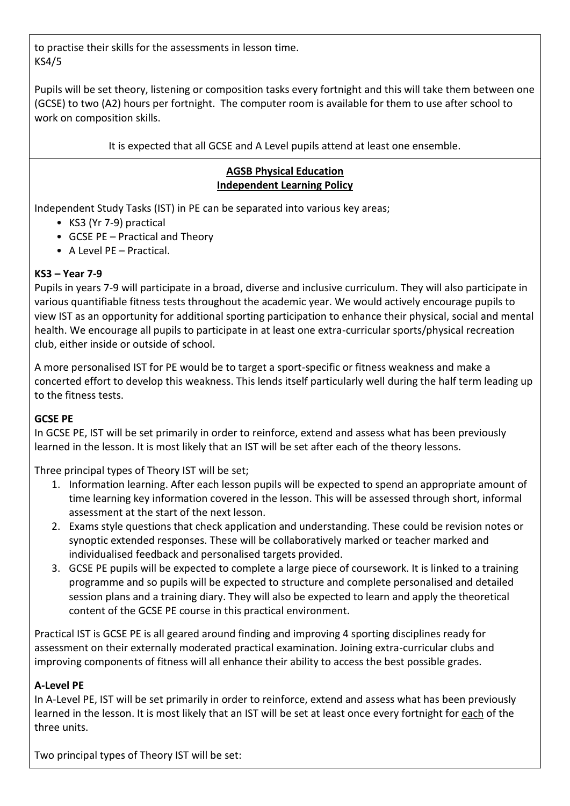to practise their skills for the assessments in lesson time. KS4/5

Pupils will be set theory, listening or composition tasks every fortnight and this will take them between one (GCSE) to two (A2) hours per fortnight. The computer room is available for them to use after school to work on composition skills.

It is expected that all GCSE and A Level pupils attend at least one ensemble.

## **AGSB Physical Education Independent Learning Policy**

Independent Study Tasks (IST) in PE can be separated into various key areas;

- KS3 (Yr 7-9) practical
- GCSE PE Practical and Theory
- A Level PE Practical.

## **KS3 – Year 7-9**

Pupils in years 7-9 will participate in a broad, diverse and inclusive curriculum. They will also participate in various quantifiable fitness tests throughout the academic year. We would actively encourage pupils to view IST as an opportunity for additional sporting participation to enhance their physical, social and mental health. We encourage all pupils to participate in at least one extra-curricular sports/physical recreation club, either inside or outside of school.

A more personalised IST for PE would be to target a sport-specific or fitness weakness and make a concerted effort to develop this weakness. This lends itself particularly well during the half term leading up to the fitness tests.

## **GCSE PE**

In GCSE PE, IST will be set primarily in order to reinforce, extend and assess what has been previously learned in the lesson. It is most likely that an IST will be set after each of the theory lessons.

Three principal types of Theory IST will be set;

- 1. Information learning. After each lesson pupils will be expected to spend an appropriate amount of time learning key information covered in the lesson. This will be assessed through short, informal assessment at the start of the next lesson.
- 2. Exams style questions that check application and understanding. These could be revision notes or synoptic extended responses. These will be collaboratively marked or teacher marked and individualised feedback and personalised targets provided.
- 3. GCSE PE pupils will be expected to complete a large piece of coursework. It is linked to a training programme and so pupils will be expected to structure and complete personalised and detailed session plans and a training diary. They will also be expected to learn and apply the theoretical content of the GCSE PE course in this practical environment.

Practical IST is GCSE PE is all geared around finding and improving 4 sporting disciplines ready for assessment on their externally moderated practical examination. Joining extra-curricular clubs and improving components of fitness will all enhance their ability to access the best possible grades.

## **A-Level PE**

In A-Level PE, IST will be set primarily in order to reinforce, extend and assess what has been previously learned in the lesson. It is most likely that an IST will be set at least once every fortnight for each of the three units.

Two principal types of Theory IST will be set: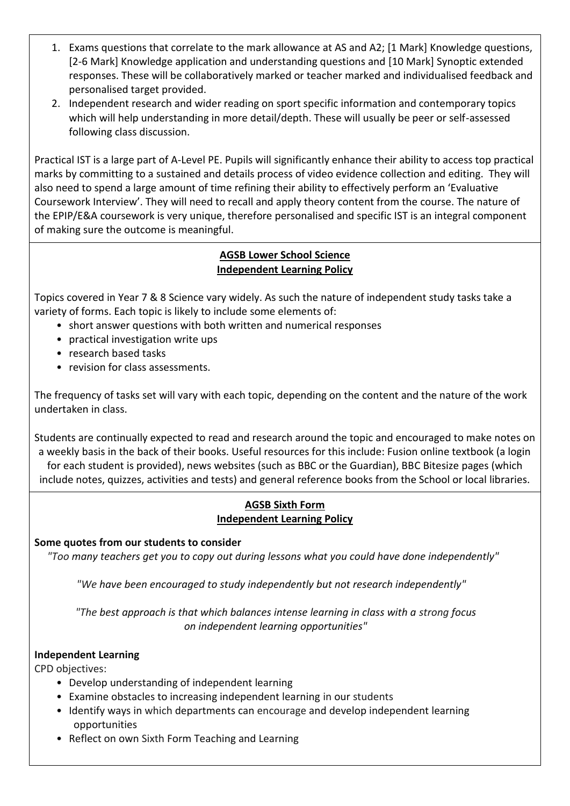- 1. Exams questions that correlate to the mark allowance at AS and A2; [1 Mark] Knowledge questions, [2-6 Mark] Knowledge application and understanding questions and [10 Mark] Synoptic extended responses. These will be collaboratively marked or teacher marked and individualised feedback and personalised target provided.
- 2. Independent research and wider reading on sport specific information and contemporary topics which will help understanding in more detail/depth. These will usually be peer or self-assessed following class discussion.

Practical IST is a large part of A-Level PE. Pupils will significantly enhance their ability to access top practical marks by committing to a sustained and details process of video evidence collection and editing. They will also need to spend a large amount of time refining their ability to effectively perform an 'Evaluative Coursework Interview'. They will need to recall and apply theory content from the course. The nature of the EPIP/E&A coursework is very unique, therefore personalised and specific IST is an integral component of making sure the outcome is meaningful.

## **AGSB Lower School Science Independent Learning Policy**

Topics covered in Year 7 & 8 Science vary widely. As such the nature of independent study tasks take a variety of forms. Each topic is likely to include some elements of:

- short answer questions with both written and numerical responses
- practical investigation write ups
- research based tasks
- revision for class assessments.

The frequency of tasks set will vary with each topic, depending on the content and the nature of the work undertaken in class.

Students are continually expected to read and research around the topic and encouraged to make notes on a weekly basis in the back of their books. Useful resources for this include: Fusion online textbook (a login for each student is provided), news websites (such as BBC or the Guardian), BBC Bitesize pages (which include notes, quizzes, activities and tests) and general reference books from the School or local libraries.

## **AGSB Sixth Form Independent Learning Policy**

## **Some quotes from our students to consider**

*"Too many teachers get you to copy out during lessons what you could have done independently"*

*"We have been encouraged to study independently but not research independently"*

*"The best approach is that which balances intense learning in class with a strong focus on independent learning opportunities"*

#### **Independent Learning**

CPD objectives:

- Develop understanding of independent learning
- Examine obstacles to increasing independent learning in our students
- Identify ways in which departments can encourage and develop independent learning opportunities
- Reflect on own Sixth Form Teaching and Learning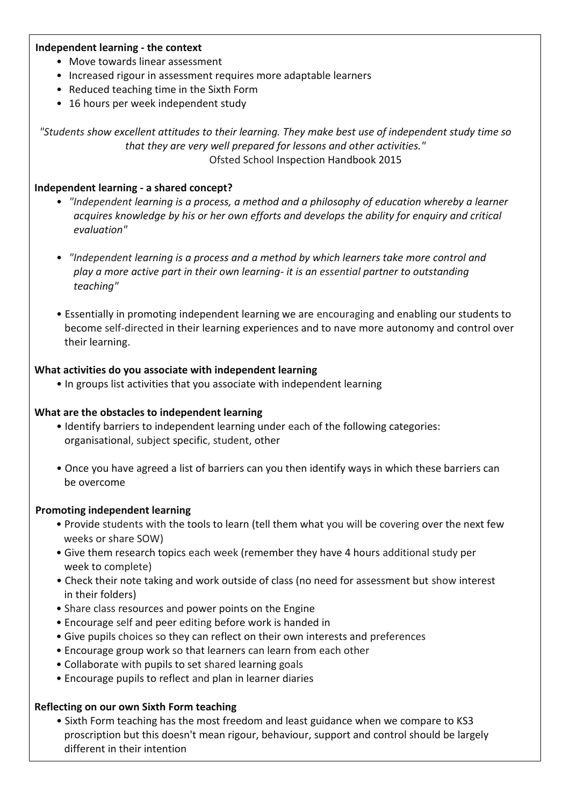#### **Independent learning - the context**

- Move towards linear assessment
- Increased rigour in assessment requires more adaptable learners
- Reduced teaching time in the Sixth Form
- 16 hours per week independent study

*"Students show excellent attitudes to their learning. They make best use of independent study time so that they are very well prepared for lessons and other activities."* Ofsted School Inspection Handbook 2015

#### **Independent learning - a shared concept?**

- *"Independent learning is a process, a method and a philosophy of education whereby a learner acquires knowledge by his or her own efforts and develops the ability for enquiry and critical evaluation"*
- *"Independent learning is a process and a method by which learners take more control and play a more active part in their own learning- it is an essential partner to outstanding teaching"*
- Essentially in promoting independent learning we are encouraging and enabling our students to become self-directed in their learning experiences and to nave more autonomy and control over their learning.

#### **What activities do you associate with independent learning**

• In groups list activities that you associate with independent learning

#### **What are the obstacles to independent learning**

- Identify barriers to independent learning under each of the following categories: organisational, subject specific, student, other
- Once you have agreed a list of barriers can you then identify ways in which these barriers can be overcome

#### **Promoting independent learning**

- Provide students with the tools to learn (tell them what you will be covering over the next few weeks or share SOW)
- Give them research topics each week (remember they have 4 hours additional study per week to complete)
- Check their note taking and work outside of class (no need for assessment but show interest in their folders)
- Share class resources and power points on the Engine
- Encourage self and peer editing before work is handed in
- Give pupils choices so they can reflect on their own interests and preferences
- Encourage group work so that learners can learn from each other
- Collaborate with pupils to set shared learning goals
- Encourage pupils to reflect and plan in learner diaries

#### **Reflecting on our own Sixth Form teaching**

• Sixth Form teaching has the most freedom and least guidance when we compare to KS3 proscription but this doesn't mean rigour, behaviour, support and control should be largely different in their intention